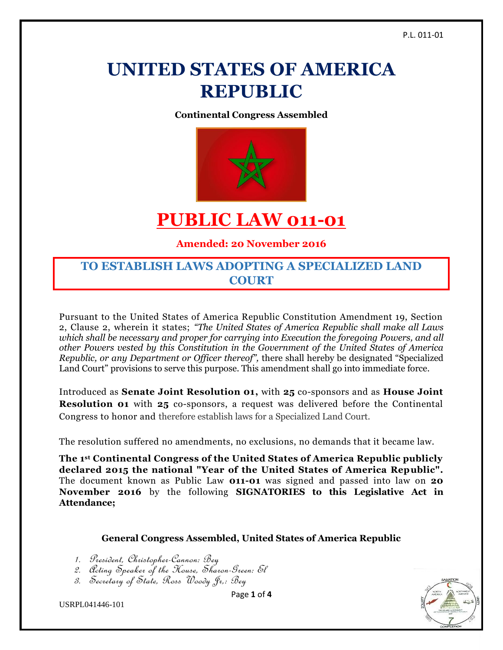# **UNITED STATES OF AMERICA REPUBLIC**

**Continental Congress Assembled**



## **PUBLIC LAW 011-01**

**Amended: 20 November 2016**

### **TO ESTABLISH LAWS ADOPTING A SPECIALIZED LAND COURT**

Pursuant to the United States of America Republic Constitution Amendment 19, Section 2, Clause 2, wherein it states; *"The United States of America Republic shall make all Laws which shall be necessary and proper for carrying into Execution the foregoing Powers, and all other Powers vested by this Constitution in the Government of the United States of America Republic, or any Department or Officer thereof",* there shall hereby be designated "Specialized Land Court" provisions to serve this purpose. This amendment shall go into immediate force.

Introduced as **Senate Joint Resolution 01,** with **25** co-sponsors and as **House Joint Resolution 01** with **25** co-sponsors, a request was delivered before the Continental Congress to honor and therefore establish laws for a Specialized Land Court.

The resolution suffered no amendments, no exclusions, no demands that it became law.

**The 1st Continental Congress of the United States of America Republic publicly declared 2015 the national "Year of the United States of America Republic".**  The document known as Public Law **011-01** was signed and passed into law on **20 November 2016** by the following **SIGNATORIES to this Legislative Act in Attendance;**

#### **General Congress Assembled, United States of America Republic**

- 1. President, Christopher-Cannon: Bey
- 2. Acting Speaker of the House, Sharon-Green: El
- 3. Secretary of State, Ross Woody Jr,: Bey





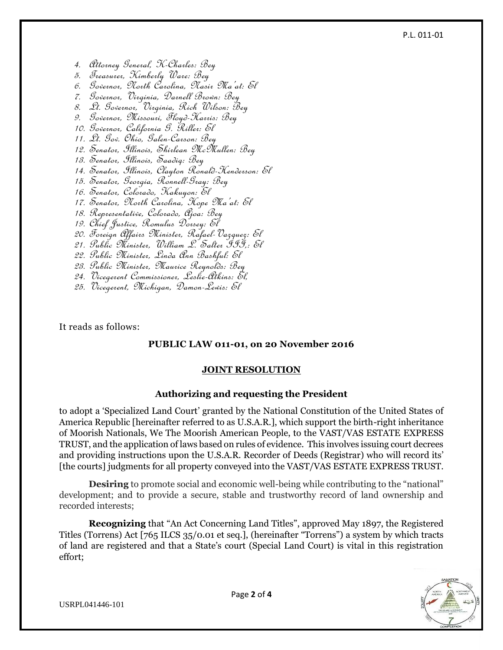#### P.L. 011-01

- 4. Attorney General, K-Charles: Bey
- 5. Treasurer, Kimberly Ware: Bey
- 6. Governor, North Carolina, Nasir Ma'at: El
- 7. Governor, Virginia, Darnell Brown: Bey
- 8. Lt. Governor, Virginia, Rich Wilson: Bey
- 9. Governor, Missouri, Floyd-Harris: Bey
- 10. Governor, California G. Riller: El
- 11. Lt. Gov. Ohio, Galen-Carson: Bey
- 12. Senator, Illinois, Shirlean McMullen: Bey
- 13. Senator, Illinois, Saadiq: Bey
- 14. Senator, Illinois, Clayton Ronald-Henderson: El
- 15. Senator, Georgia, Ronnell-Gray: Bey
- 16. Senator, Colorado, Kakuyon: El
- 17. Senator, North Carolina, Hope Ma'at: El
- 18. Representative, Colorado, Ajoa: Bey
- 19. Chief Justice, Romulus Dorsey: El
- 20. Foreign Affairs Minister, Rafael-Vazquez: El
- 21. Public Minister, William L. Salter III,: El
- 22. Public Minister, Linda Ann Bashful: El
- 23. Public Minister, Maurice Reynolds: Bey
- 24. Vicegerent Commissioner, Leslie-Atkins: El,
- 25. Vicegerent, Michigan, Damon-Lewis: El

It reads as follows:

#### **PUBLIC LAW 011-01, on 20 November 2016**

#### **JOINT RESOLUTION**

#### **Authorizing and requesting the President**

to adopt a 'Specialized Land Court' granted by the National Constitution of the United States of America Republic [hereinafter referred to as U.S.A.R.], which support the birth-right inheritance of Moorish Nationals, We The Moorish American People, to the VAST/VAS ESTATE EXPRESS TRUST, and the application of laws based on rules of evidence. This involves issuing court decrees and providing instructions upon the U.S.A.R. Recorder of Deeds (Registrar) who will record its' [the courts] judgments for all property conveyed into the VAST/VAS ESTATE EXPRESS TRUST.

**Desiring** to promote social and economic well-being while contributing to the "national" development; and to provide a secure, stable and trustworthy record of land ownership and recorded interests;

**Recognizing** that "An Act Concerning Land Titles", approved May 1897, the Registered Titles (Torrens) Act [765 ILCS 35/0.01 et seq.], (hereinafter "Torrens") a system by which tracts of land are registered and that a State's court (Special Land Court) is vital in this registration effort;

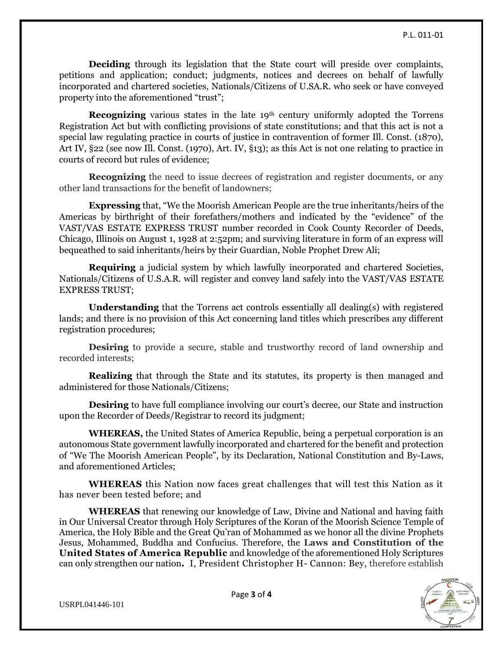**Deciding** through its legislation that the State court will preside over complaints, petitions and application; conduct; judgments, notices and decrees on behalf of lawfully incorporated and chartered societies, Nationals/Citizens of U.SA.R. who seek or have conveyed property into the aforementioned "trust";

**Recognizing** various states in the late 19<sup>th</sup> century uniformly adopted the Torrens Registration Act but with conflicting provisions of state constitutions; and that this act is not a special law regulating practice in courts of justice in contravention of former Ill. Const. (1870), Art IV, §22 (see now Ill. Const. (1970), Art. IV, §13); as this Act is not one relating to practice in courts of record but rules of evidence;

**Recognizing** the need to issue decrees of registration and register documents, or any other land transactions for the benefit of landowners;

**Expressing** that, "We the Moorish American People are the true inheritants/heirs of the Americas by birthright of their forefathers/mothers and indicated by the "evidence" of the VAST/VAS ESTATE EXPRESS TRUST number recorded in Cook County Recorder of Deeds, Chicago, Illinois on August 1, 1928 at 2:52pm; and surviving literature in form of an express will bequeathed to said inheritants/heirs by their Guardian, Noble Prophet Drew Ali;

**Requiring** a judicial system by which lawfully incorporated and chartered Societies, Nationals/Citizens of U.S.A.R. will register and convey land safely into the VAST/VAS ESTATE EXPRESS TRUST;

**Understanding** that the Torrens act controls essentially all dealing(s) with registered lands; and there is no provision of this Act concerning land titles which prescribes any different registration procedures;

**Desiring** to provide a secure, stable and trustworthy record of land ownership and recorded interests;

**Realizing** that through the State and its statutes, its property is then managed and administered for those Nationals/Citizens;

**Desiring** to have full compliance involving our court's decree, our State and instruction upon the Recorder of Deeds/Registrar to record its judgment;

**WHEREAS,** the United States of America Republic, being a perpetual corporation is an autonomous State government lawfully incorporated and chartered for the benefit and protection of "We The Moorish American People", by its Declaration, National Constitution and By-Laws, and aforementioned Articles;

**WHEREAS** this Nation now faces great challenges that will test this Nation as it has never been tested before; and

**WHEREAS** that renewing our knowledge of Law, Divine and National and having faith in Our Universal Creator through Holy Scriptures of the Koran of the Moorish Science Temple of America, the Holy Bible and the Great Qu'ran of Mohammed as we honor all the divine Prophets Jesus, Mohammed, Buddha and Confucius. Therefore, the **Laws and Constitution of the United States of America Republic** and knowledge of the aforementioned Holy Scriptures can only strengthen our nation**.** I, President Christopher H- Cannon: Bey, therefore establish



USRPL041446-101